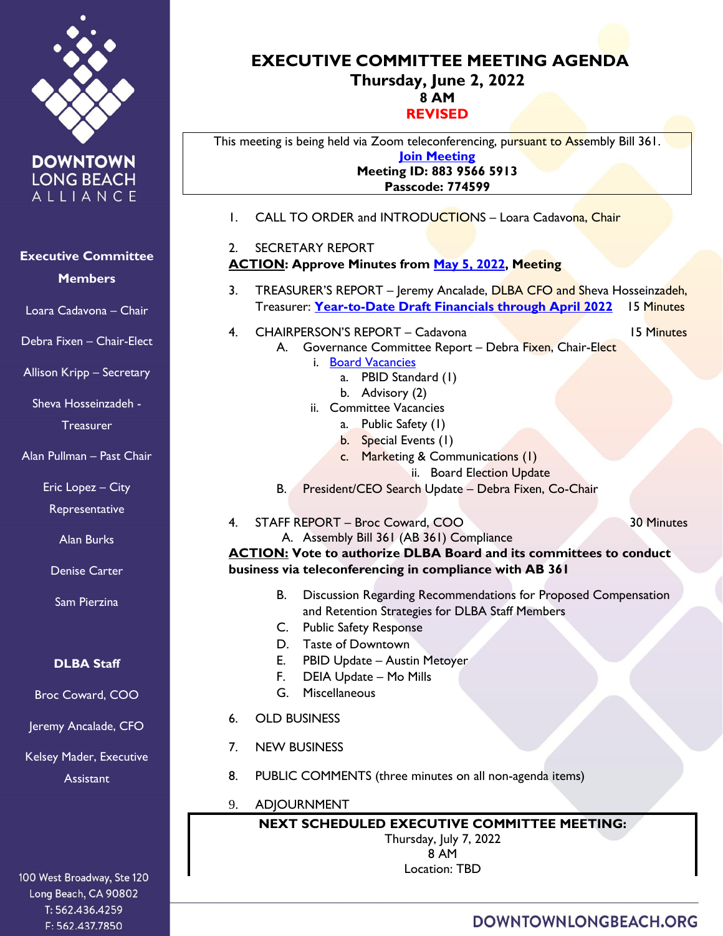

**DOWNTOWN LONG BEACH** ALLIANCE

# **Executive Committee**

**Members**

Loara Cadavona – Chair

Debra Fixen – Chair-Elect

Allison Kripp – Secretary

Sheva Hosseinzadeh - **Treasurer** 

Alan Pullman – Past Chair

Eric Lopez – City

**Representative** 

Alan Burks

Denise Carter

Sam Pierzina

### **DLBA Staff**

Broc Coward, COO

Jeremy Ancalade, CFO

Kelsey Mader, Executive **Assistant** 

100 West Broadway, Ste 120 Long Beach, CA 90802 T: 562.436.4259 F: 562.437.7850

#### **EXECUTIVE COMMITTEE MEETING AGENDA Thursday, June 2, 2022 8 AM REVISED**

This meeting is being held via Zoom teleconferencing, pursuant to Assembly Bill 361. **[Join Meeting](https://us02web.zoom.us/j/88395665913?pwd=eVNYNW1mTWhsc21LaXNGZi9zUHp0UT09) Meeting ID: 883 9566 5913 Passcode: 774599**

- 1. CALL TO ORDER and INTRODUCTIONS Loara Cadavona, Chair
- 2. SECRETARY REPORT **ACTION: Approve Minutes from [May 5, 2022,](https://downtownlongbeach.org/wp-content/uploads/5-5-22-Minutes-F.pdf) Meeting**
- 3. TREASURER'S REPORT Jeremy Ancalade, DLBA CFO and Sheva Hosseinzadeh, Treasurer: **[Year-to-Date Draft Financials through April](https://downtownlongbeach.org/wp-content/uploads/DLBA-Financial-Package-April-2022.pdf) 2022** 15 Minutes
- 4. CHAIRPERSON'S REPORT Cadavona 15 Minutes

- A. Governance Committee Report Debra Fixen, Chair-Elect
	- i. [Board Vacancies](https://downtownlongbeach.org/wp-content/uploads/04.-Board-Committee-Roster-2021-2022-2.pdf)
		- a. PBID Standard (1)
		- b. Advisory (2)
	- ii. Committee Vacancies
		- a. Public Safety (1)
		- b. Special Events (1)
		- c. Marketing & Communications (1)
			- ii. Board Election Update
- B. President/CEO Search Update Debra Fixen, Co-Chair
- 4. STAFF REPORT Broc Coward, COO 30 Minutes

A. Assembly Bill 361 (AB 361) Compliance

**ACTION: Vote to authorize DLBA Board and its committees to conduct business via teleconferencing in compliance with AB 361**

- B. Discussion Regarding Recommendations for Proposed Compensation and Retention Strategies for DLBA Staff Members
- C. Public Safety Response
- D. Taste of Downtown
- E. PBID Update Austin Metoyer
- F. DEIA Update Mo Mills
- G. Miscellaneous
- 6. OLD BUSINESS
- 7. NEW BUSINESS
- 8. PUBLIC COMMENTS (three minutes on all non-agenda items)
- 9. ADJOURNMENT

**NEXT SCHEDULED EXECUTIVE COMMITTEE MEETING:**  Thursday, July 7, 2022 8 AM Location: TBD

## DOWNTOWNLONGBEACH.ORG